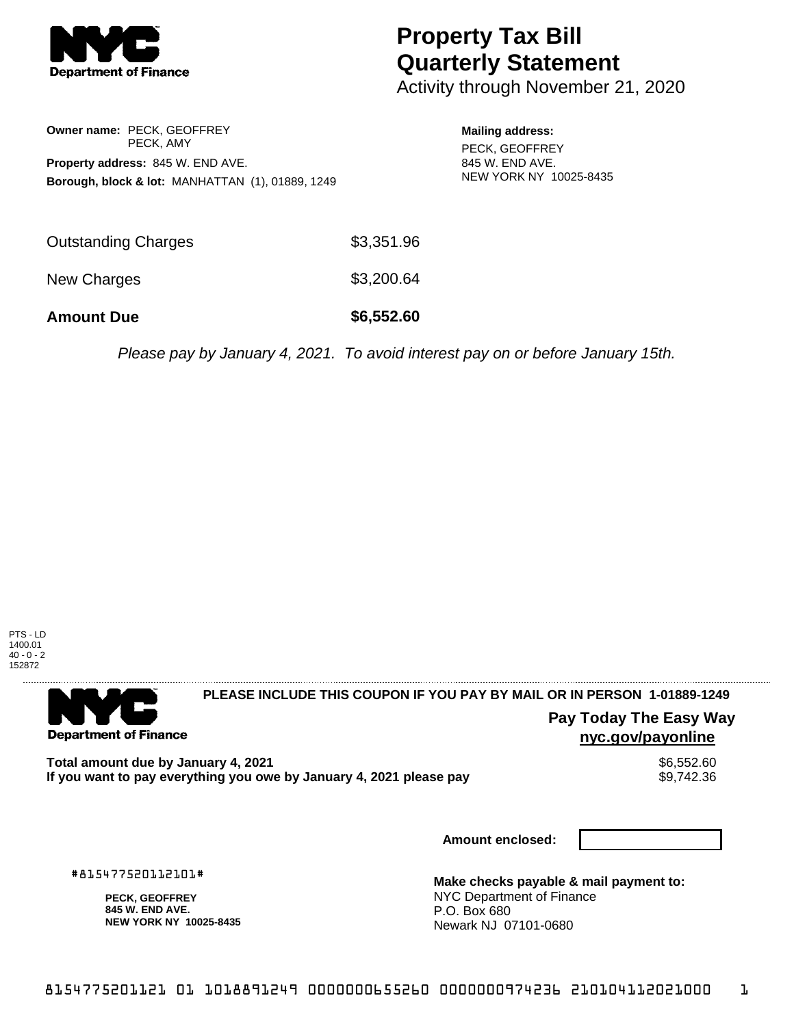

# **Property Tax Bill Quarterly Statement**

Activity through November 21, 2020

### **Owner name:** PECK, GEOFFREY PECK, AMY **Property address:** 845 W. END AVE. **Borough, block & lot:** MANHATTAN (1), 01889, 1249

#### **Mailing address:**

PECK, GEOFFREY 845 W. END AVE. NEW YORK NY 10025-8435

| <b>Amount Due</b>   | \$6,552.60 |
|---------------------|------------|
| New Charges         | \$3,200.64 |
| Outstanding Charges | \$3,351.96 |

Please pay by January 4, 2021. To avoid interest pay on or before January 15th.



### 

**Department of Finance** 

# **PLEASE INCLUDE THIS COUPON IF YOU PAY BY MAIL OR IN PERSON 1-01889-1249**

### **Pay Today The Easy Way nyc.gov/payonline**

**Total amount due by January 4, 2021**<br>If you want to pay everything you owe by January 4, 2021 please pay **show that the set of the set of the set of** If you want to pay everything you owe by January 4, 2021 please pay

**Amount enclosed:**

#815477520112101#

**PECK, GEOFFREY 845 W. END AVE. NEW YORK NY 10025-8435**

**Make checks payable & mail payment to:** NYC Department of Finance P.O. Box 680 Newark NJ 07101-0680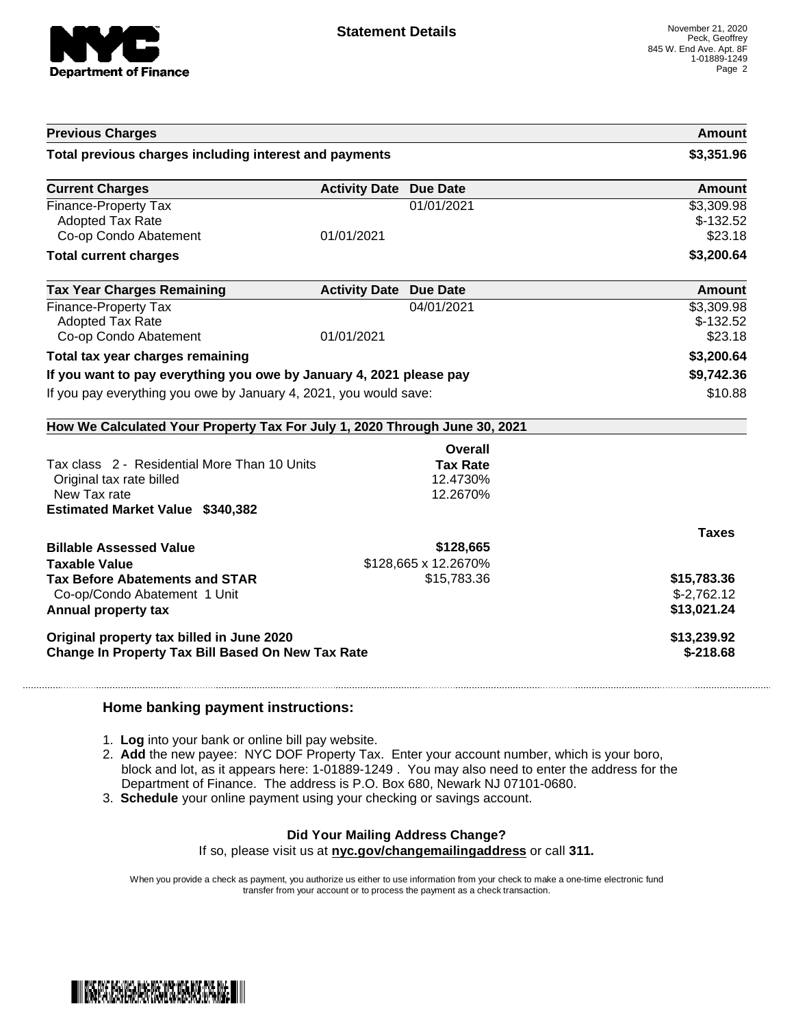

|                                                                            |                               |                                     | <b>Amount</b> |
|----------------------------------------------------------------------------|-------------------------------|-------------------------------------|---------------|
| Total previous charges including interest and payments                     |                               |                                     | \$3,351.96    |
| <b>Current Charges</b>                                                     | <b>Activity Date Due Date</b> |                                     | <b>Amount</b> |
| <b>Finance-Property Tax</b>                                                |                               | 01/01/2021                          | \$3,309.98    |
| <b>Adopted Tax Rate</b>                                                    |                               |                                     | $$-132.52$    |
| Co-op Condo Abatement                                                      | 01/01/2021                    |                                     | \$23.18       |
| <b>Total current charges</b>                                               |                               |                                     | \$3,200.64    |
| <b>Tax Year Charges Remaining</b>                                          | <b>Activity Date Due Date</b> |                                     | Amount        |
| Finance-Property Tax                                                       |                               | 04/01/2021                          | \$3,309.98    |
| <b>Adopted Tax Rate</b>                                                    |                               |                                     | $$-132.52$    |
| Co-op Condo Abatement                                                      | 01/01/2021                    |                                     | \$23.18       |
| Total tax year charges remaining                                           |                               |                                     | \$3,200.64    |
| If you want to pay everything you owe by January 4, 2021 please pay        |                               |                                     | \$9,742.36    |
| If you pay everything you owe by January 4, 2021, you would save:          |                               | \$10.88                             |               |
| How We Calculated Your Property Tax For July 1, 2020 Through June 30, 2021 |                               |                                     |               |
|                                                                            |                               |                                     |               |
|                                                                            |                               | <b>Overall</b>                      |               |
| Tax class 2 - Residential More Than 10 Units                               |                               | <b>Tax Rate</b>                     |               |
| Original tax rate billed                                                   |                               | 12.4730%                            |               |
| New Tax rate                                                               |                               | 12.2670%                            |               |
| <b>Estimated Market Value \$340,382</b>                                    |                               |                                     |               |
|                                                                            |                               |                                     | <b>Taxes</b>  |
| <b>Billable Assessed Value</b>                                             |                               | \$128,665                           |               |
| <b>Taxable Value</b>                                                       |                               |                                     |               |
| <b>Tax Before Abatements and STAR</b>                                      |                               | \$128,665 x 12.2670%<br>\$15,783.36 | \$15,783.36   |
| Co-op/Condo Abatement 1 Unit                                               |                               |                                     | $$-2,762.12$  |
| Annual property tax                                                        |                               |                                     | \$13,021.24   |
| Original property tax billed in June 2020                                  |                               |                                     | \$13,239.92   |

#### **Home banking payment instructions:**

- 1. **Log** into your bank or online bill pay website.
- 2. **Add** the new payee: NYC DOF Property Tax. Enter your account number, which is your boro, block and lot, as it appears here: 1-01889-1249 . You may also need to enter the address for the Department of Finance. The address is P.O. Box 680, Newark NJ 07101-0680.
- 3. **Schedule** your online payment using your checking or savings account.

## **Did Your Mailing Address Change?**

If so, please visit us at **nyc.gov/changemailingaddress** or call **311.**

When you provide a check as payment, you authorize us either to use information from your check to make a one-time electronic fund transfer from your account or to process the payment as a check transaction.